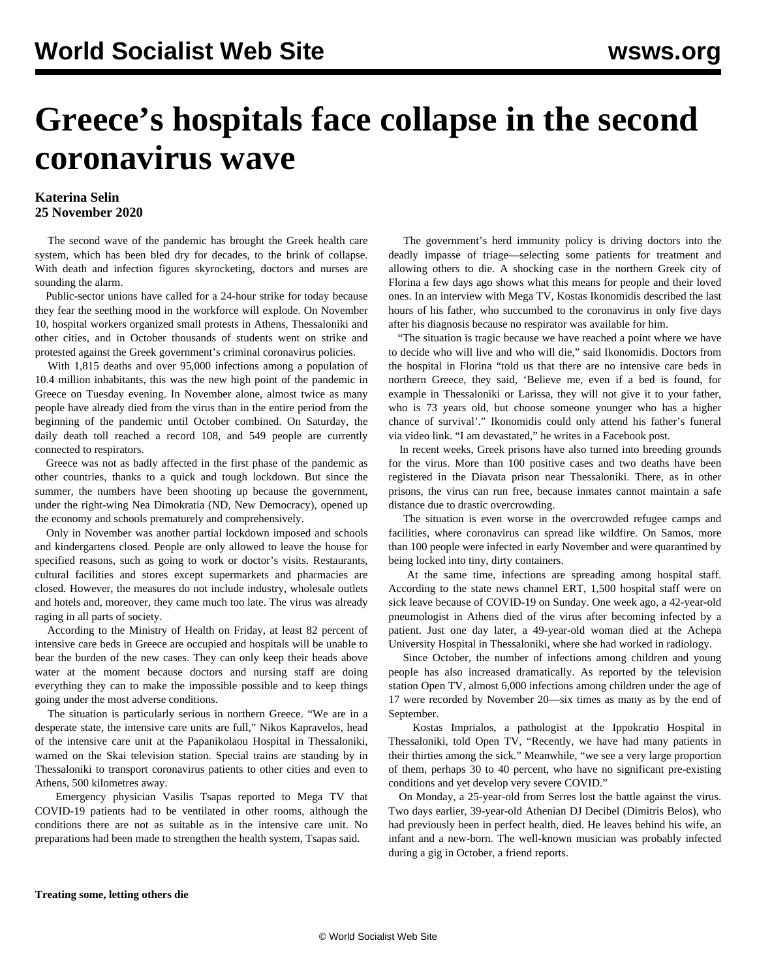# **Greece's hospitals face collapse in the second coronavirus wave**

## **Katerina Selin 25 November 2020**

 The second wave of the pandemic has brought the Greek health care system, which has been bled dry for decades, to the brink of collapse. With death and infection figures skyrocketing, doctors and nurses are sounding the alarm.

 Public-sector unions have called for a 24-hour strike for today because they fear the seething mood in the workforce will explode. On November 10, hospital workers organized small protests in Athens, Thessaloniki and other cities, and in October thousands of students went on strike and protested against the Greek government's criminal coronavirus policies.

 With 1,815 deaths and over 95,000 infections among a population of 10.4 million inhabitants, this was the new high point of the pandemic in Greece on Tuesday evening. In November alone, almost twice as many people have already died from the virus than in the entire period from the beginning of the pandemic until October combined. On Saturday, the daily death toll reached a record 108, and 549 people are currently connected to respirators.

 Greece was not as badly affected in the first phase of the pandemic as other countries, thanks to a quick and tough lockdown. But since the summer, the numbers have been shooting up because the government, under the right-wing Nea Dimokratia (ND, New Democracy), opened up the economy and schools prematurely and comprehensively.

 Only in November was another partial lockdown imposed and schools and kindergartens closed. People are only allowed to leave the house for specified reasons, such as going to work or doctor's visits. Restaurants, cultural facilities and stores except supermarkets and pharmacies are closed. However, the measures do not include industry, wholesale outlets and hotels and, moreover, they came much too late. The virus was already raging in all parts of society.

 According to the Ministry of Health on Friday, at least 82 percent of intensive care beds in Greece are occupied and hospitals will be unable to bear the burden of the new cases. They can only keep their heads above water at the moment because doctors and nursing staff are doing everything they can to make the impossible possible and to keep things going under the most adverse conditions.

 The situation is particularly serious in northern Greece. "We are in a desperate state, the intensive care units are full," Nikos Kapravelos, head of the intensive care unit at the Papanikolaou Hospital in Thessaloniki, warned on the Skai television station. Special trains are standing by in Thessaloniki to transport coronavirus patients to other cities and even to Athens, 500 kilometres away.

 Emergency physician Vasilis Tsapas reported to Mega TV that COVID-19 patients had to be ventilated in other rooms, although the conditions there are not as suitable as in the intensive care unit. No preparations had been made to strengthen the health system, Tsapas said.

 The government's herd immunity policy is driving doctors into the deadly impasse of triage—selecting some patients for treatment and allowing others to die. A shocking case in the northern Greek city of Florina a few days ago shows what this means for people and their loved ones. In an interview with Mega TV, Kostas Ikonomidis described the last hours of his father, who succumbed to the coronavirus in only five days after his diagnosis because no respirator was available for him.

 "The situation is tragic because we have reached a point where we have to decide who will live and who will die," said Ikonomidis. Doctors from the hospital in Florina "told us that there are no intensive care beds in northern Greece, they said, 'Believe me, even if a bed is found, for example in Thessaloniki or Larissa, they will not give it to your father, who is 73 years old, but choose someone younger who has a higher chance of survival'." Ikonomidis could only attend his father's funeral via video link. "I am devastated," he writes in a Facebook post.

 In recent weeks, Greek prisons have also turned into breeding grounds for the virus. More than 100 positive cases and two deaths have been registered in the Diavata prison near Thessaloniki. There, as in other prisons, the virus can run free, because inmates cannot maintain a safe distance due to drastic overcrowding.

 The situation is even worse in the overcrowded refugee camps and facilities, where coronavirus can spread like wildfire. On Samos, more than 100 people were infected in early November and were quarantined by being locked into tiny, dirty containers.

 At the same time, infections are spreading among hospital staff. According to the state news channel ERT, 1,500 hospital staff were on sick leave because of COVID-19 on Sunday. One week ago, a 42-year-old pneumologist in Athens died of the virus after becoming infected by a patient. Just one day later, a 49-year-old woman died at the Achepa University Hospital in Thessaloniki, where she had worked in radiology.

 Since October, the number of infections among children and young people has also increased dramatically. As reported by the television station Open TV, almost 6,000 infections among children under the age of 17 were recorded by November 20—six times as many as by the end of September.

 Kostas Imprialos, a pathologist at the Ippokratio Hospital in Thessaloniki, told Open TV, "Recently, we have had many patients in their thirties among the sick." Meanwhile, "we see a very large proportion of them, perhaps 30 to 40 percent, who have no significant pre-existing conditions and yet develop very severe COVID."

 On Monday, a 25-year-old from Serres lost the battle against the virus. Two days earlier, 39-year-old Athenian DJ Decibel (Dimitris Belos), who had previously been in perfect health, died. He leaves behind his wife, an infant and a new-born. The well-known musician was probably infected during a gig in October, a friend reports.